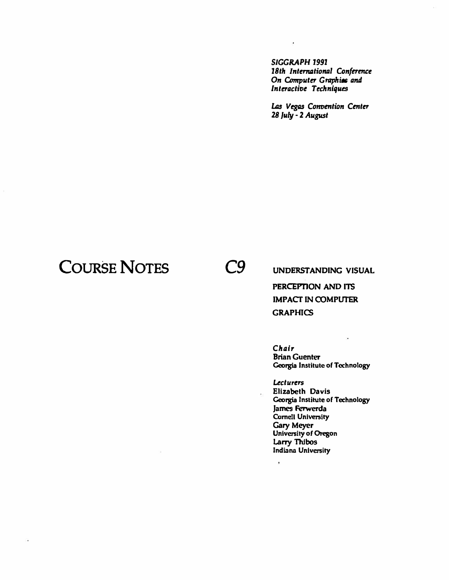*SIGGRAPH 1991*  18th International Conference **On Computer Graphics and** *lnteractioe Techniques* 

J,

Las Vegas Convention Center *28 July* - 2 *August* 

#### **COURSE NOTES** *C9*

**UNDERSTANDING VISUAL PERCEPTION AND ITS IMPACT IN COMPUTER GRAPHICS** 

*Chair*  **Brian Guenter Georgia Institute of Technology** 

*Lecturers*  **Elizabeth Davis Georgia Institute of Technology James Ferwerda Cornell University Gary Meyer University of Oregon Larry Thlbos Indiana University** 

 $\bar{\mathbf{r}}$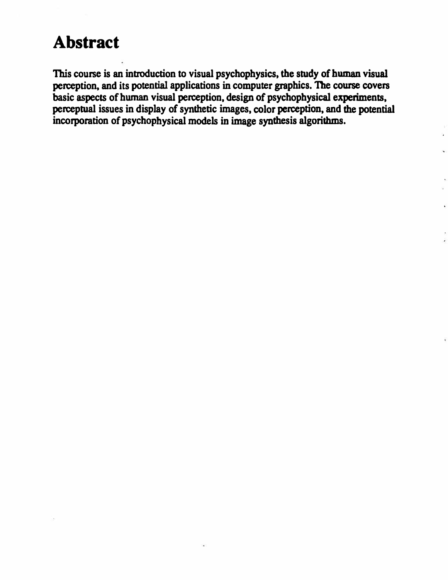#### **Abstract**

**This course is an introduction to visual psychophysics, the study of human visual perception, and its potential applications in computer graphics. The course covers basic aspects of hwnan visual perception, design of psychophysical experiments, perceptual issues in display of synthetic images, color perception, and the potential incorporation of psychophysical models in image synthesis algorithms.**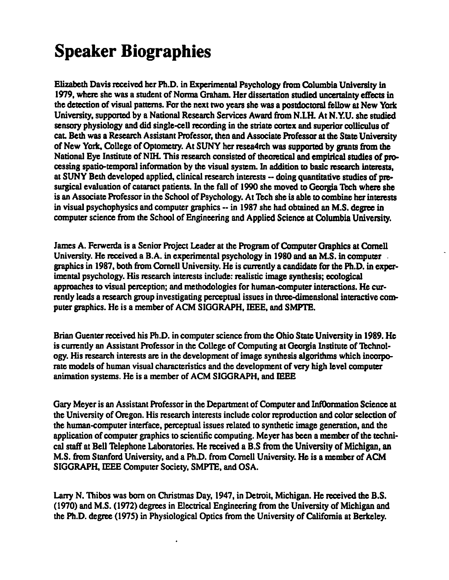# **Speaker Biographies**

Elizabeth Davis received her Ph.D. in Experimental Psychology from Columbia University in 1979, where she was a student of Norma Graham. Her dissertation studied uncertainty effects in the detection of visual patterns. For the next two years she was a postdoctoral fellow at New York University, supported by a National Research Services Award from N.LH. At N.Y.U. she studied sensory physiology and did single-cell recording in the striate cortex and superior colliculus of caL Beth was a Research Assistant Professor, then and Associate Professor at the State University of New York. College of Optometry. At SUNY her resea4rch was supported by grants from the National Eye Institute of NIH. This research consisted of theoretical and empirical studies of processing spatio-temporal information by the visual system. In addition to basic research interests, at SUNY Beth developed applied, clinical research interests -- doing quantitative studies of presurgical evaluation of cataract patients. In the fall of 1990 she moved to Georgia Tech where she is an Associate Professor in the School of Psychology. At Tech she is able to combine her interests in visual psychophysics and computer graphics -- in 1987 she had obtained an M.S. degree in computer science from the School of Engineering and Applied Science at Columbia University.

James A. Ferwerda is a Senior Project Leader at the Program of Computer Graphics at Cornell University. He received a B.A. in experimental psychology in 1980 and an M.S. in computer graphics in 1987, both from Cornell University. He is currently a candidate for the Ph.D. in experimental psychology. His research interests include: realistic image synthesis; ecological approaches to visual perception; and methodologies for human-computer interactions. He currently leads a research group investigating perceptual issues in three-dimensional interactive computer graphics. He is a member of ACM SIGGRAPH, IEEE, and SMPTE.

Brian Ouenter received his Ph.D. in computer science from the Ohio State University in 1989. He is currently an Assistant Professor in the College of Computing at Georgia Institute of Technology. His research interests are in the development of image synthesis algorithms which incorporate models of human visual characteristics and the development of very high level computer animation systems. He is a member of ACM SIGORAPH, and IEEE

Gary Meyer is an Assistant Professor in the Department of Computer and Inflormation Science at the University of Oregon. His research interests include color reproduction and color selection of the human-computer interface, perceptual issues related to synthetic image generation, and the application of computer graphics to scientific computing. Meyer has been a member of the technical staff at Bell Telephone Laboratories. He received a B.S from the University of Michigan, an M.S. from Stanford University, and a PhD. from Cornell University. He is a member of ACM SIGGRAPH, IEEE Computer Society, SMPTE, and OSA.

Larry N. Thibos was born on Christmas Day, 1947, in Dettoit. Michigan. He received the B.S. ( 1970) and M.S. ( 1972) degrees in Electrical Engineering from the University of Michigan and the Ph.D. degree (1975) in Physiological Optics from the University of California at Berkeley.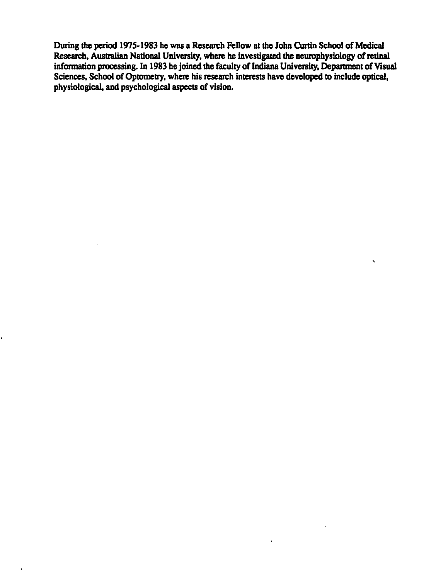During the period 1975-1983 he was a Research Fellow at the John Curtin School of Medical Research, Australian National University, where he investigated the neurophysiology of retinal information processing. In 1983 he joined the faculty of Indiana University, Department of Visual Sciences, School of Optometry, where his research interests have developed to include optical, physiological, and psychological aspects of vision.

 $\hat{\mathbf{v}}$ 

l.

 $\mathbf{r}$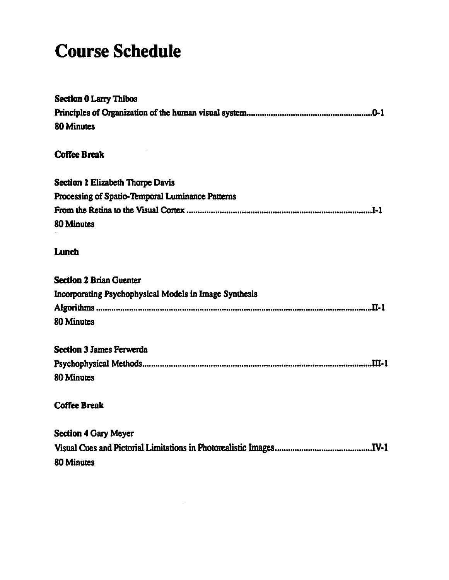### **Course Schedule**

| <b>Section 0 Larry Thibos</b>                          |
|--------------------------------------------------------|
|                                                        |
| <b>80 Minutes</b>                                      |
| <b>Coffee Break</b>                                    |
|                                                        |
| <b>Section 1 Elizabeth Thorpe Davis</b>                |
| Processing of Spatio-Temporal Luminance Patterns       |
|                                                        |
| <b>80 Minutes</b>                                      |
|                                                        |
| Lunch                                                  |
|                                                        |
| <b>Section 2 Brian Guenter</b>                         |
| Incorporating Psychophysical Models in Image Synthesis |
|                                                        |
| <b>80 Minutes</b>                                      |
|                                                        |
| <b>Section 3 James Ferwerda</b>                        |
|                                                        |
| <b>80 Minutes</b>                                      |
|                                                        |
| <b>Coffee Break</b>                                    |
| <b>Section 4 Gary Meyer</b>                            |
|                                                        |
|                                                        |
| <b>80 Minutes</b>                                      |
|                                                        |

 $\sim 10$